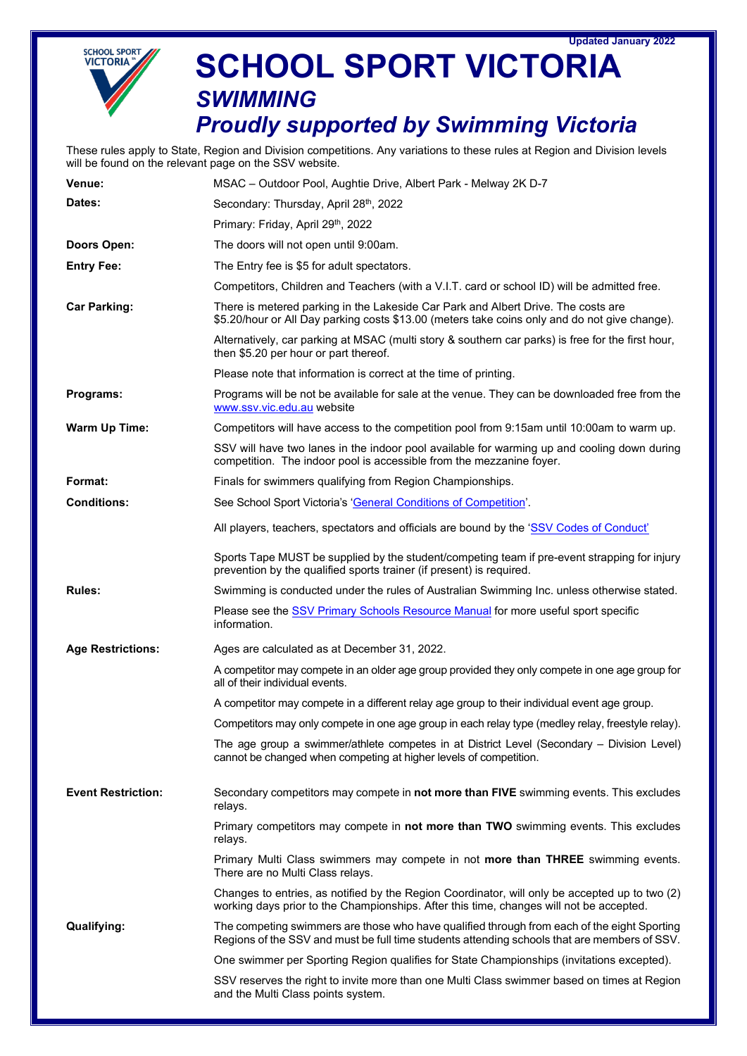



## **SCHOOL SPORT VICTORIA** *SWIMMING*

## *Proudly supported by Swimming Victoria*

These rules apply to State, Region and Division competitions. Any variations to these rules at Region and Division levels will be found on the relevant page on the SSV website.

| <b>Venue:</b>             | MSAC - Outdoor Pool, Aughtie Drive, Albert Park - Melway 2K D-7                                                                                                                             |
|---------------------------|---------------------------------------------------------------------------------------------------------------------------------------------------------------------------------------------|
| Dates:                    | Secondary: Thursday, April 28th, 2022                                                                                                                                                       |
|                           | Primary: Friday, April 29th, 2022                                                                                                                                                           |
| Doors Open:               | The doors will not open until 9:00am.                                                                                                                                                       |
| <b>Entry Fee:</b>         | The Entry fee is \$5 for adult spectators.                                                                                                                                                  |
|                           | Competitors, Children and Teachers (with a V.I.T. card or school ID) will be admitted free.                                                                                                 |
| <b>Car Parking:</b>       | There is metered parking in the Lakeside Car Park and Albert Drive. The costs are<br>\$5.20/hour or All Day parking costs \$13.00 (meters take coins only and do not give change).          |
|                           | Alternatively, car parking at MSAC (multi story & southern car parks) is free for the first hour,<br>then \$5.20 per hour or part thereof.                                                  |
|                           | Please note that information is correct at the time of printing.                                                                                                                            |
| Programs:                 | Programs will be not be available for sale at the venue. They can be downloaded free from the<br>www.ssv.vic.edu.au website                                                                 |
| <b>Warm Up Time:</b>      | Competitors will have access to the competition pool from 9:15am until 10:00am to warm up.                                                                                                  |
|                           | SSV will have two lanes in the indoor pool available for warming up and cooling down during<br>competition. The indoor pool is accessible from the mezzanine foyer.                         |
| Format:                   | Finals for swimmers qualifying from Region Championships.                                                                                                                                   |
| <b>Conditions:</b>        | See School Sport Victoria's 'General Conditions of Competition'.                                                                                                                            |
|                           | All players, teachers, spectators and officials are bound by the 'SSV Codes of Conduct'                                                                                                     |
|                           | Sports Tape MUST be supplied by the student/competing team if pre-event strapping for injury<br>prevention by the qualified sports trainer (if present) is required.                        |
| <b>Rules:</b>             | Swimming is conducted under the rules of Australian Swimming Inc. unless otherwise stated.                                                                                                  |
|                           | Please see the SSV Primary Schools Resource Manual for more useful sport specific<br>information.                                                                                           |
| <b>Age Restrictions:</b>  | Ages are calculated as at December 31, 2022.                                                                                                                                                |
|                           | A competitor may compete in an older age group provided they only compete in one age group for<br>all of their individual events.                                                           |
|                           | A competitor may compete in a different relay age group to their individual event age group.                                                                                                |
|                           | Competitors may only compete in one age group in each relay type (medley relay, freestyle relay).                                                                                           |
|                           | The age group a swimmer/athlete competes in at District Level (Secondary - Division Level)<br>cannot be changed when competing at higher levels of competition.                             |
| <b>Event Restriction:</b> | Secondary competitors may compete in not more than FIVE swimming events. This excludes<br>relays.                                                                                           |
|                           | Primary competitors may compete in not more than TWO swimming events. This excludes<br>relays.                                                                                              |
|                           | Primary Multi Class swimmers may compete in not more than THREE swimming events.<br>There are no Multi Class relays.                                                                        |
|                           | Changes to entries, as notified by the Region Coordinator, will only be accepted up to two (2)<br>working days prior to the Championships. After this time, changes will not be accepted.   |
| <b>Qualifying:</b>        | The competing swimmers are those who have qualified through from each of the eight Sporting<br>Regions of the SSV and must be full time students attending schools that are members of SSV. |
|                           | One swimmer per Sporting Region qualifies for State Championships (invitations excepted).                                                                                                   |
|                           | SSV reserves the right to invite more than one Multi Class swimmer based on times at Region<br>and the Multi Class points system.                                                           |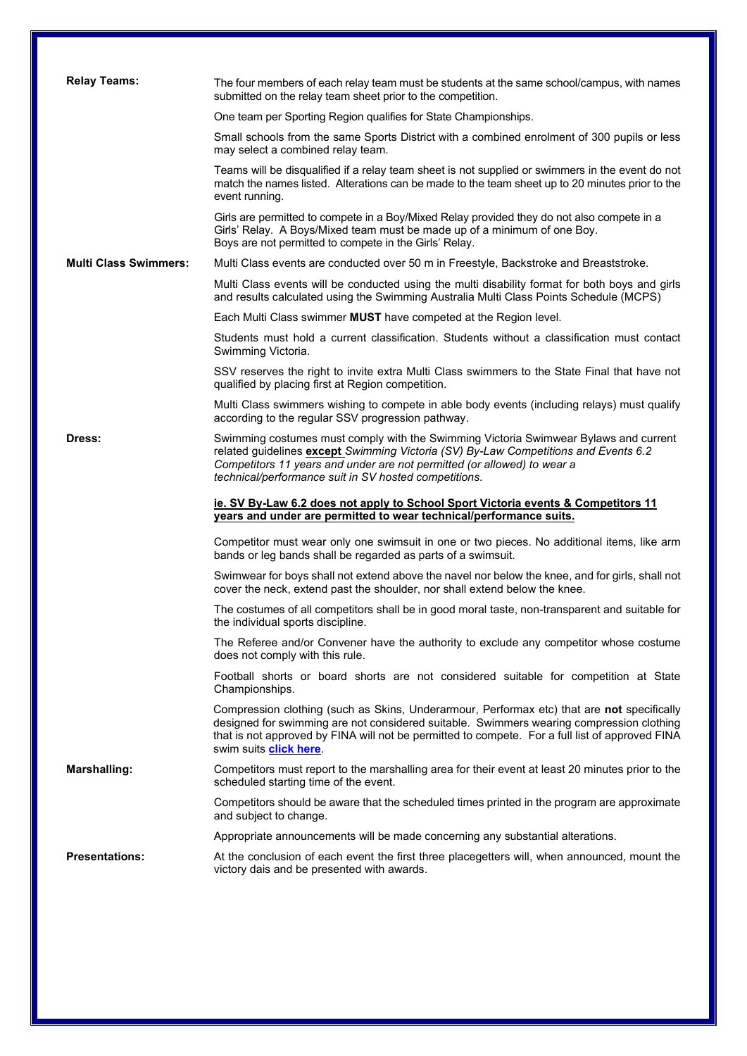| <b>Relay Teams:</b>          |                                                                                                                                                                                                                                                                                                                             |  |  |  |  |  |  |  |
|------------------------------|-----------------------------------------------------------------------------------------------------------------------------------------------------------------------------------------------------------------------------------------------------------------------------------------------------------------------------|--|--|--|--|--|--|--|
|                              | The four members of each relay team must be students at the same school/campus, with names<br>submitted on the relay team sheet prior to the competition.                                                                                                                                                                   |  |  |  |  |  |  |  |
|                              | One team per Sporting Region qualifies for State Championships.                                                                                                                                                                                                                                                             |  |  |  |  |  |  |  |
|                              | Small schools from the same Sports District with a combined enrolment of 300 pupils or less<br>may select a combined relay team.                                                                                                                                                                                            |  |  |  |  |  |  |  |
|                              | Teams will be disqualified if a relay team sheet is not supplied or swimmers in the event do not<br>match the names listed. Alterations can be made to the team sheet up to 20 minutes prior to the<br>event running.                                                                                                       |  |  |  |  |  |  |  |
|                              | Girls are permitted to compete in a Boy/Mixed Relay provided they do not also compete in a<br>Girls' Relay. A Boys/Mixed team must be made up of a minimum of one Boy.<br>Boys are not permitted to compete in the Girls' Relay.                                                                                            |  |  |  |  |  |  |  |
| <b>Multi Class Swimmers:</b> | Multi Class events are conducted over 50 m in Freestyle, Backstroke and Breaststroke.                                                                                                                                                                                                                                       |  |  |  |  |  |  |  |
|                              | Multi Class events will be conducted using the multi disability format for both boys and girls<br>and results calculated using the Swimming Australia Multi Class Points Schedule (MCPS)                                                                                                                                    |  |  |  |  |  |  |  |
|                              | Each Multi Class swimmer MUST have competed at the Region level.                                                                                                                                                                                                                                                            |  |  |  |  |  |  |  |
|                              | Students must hold a current classification. Students without a classification must contact<br>Swimming Victoria.                                                                                                                                                                                                           |  |  |  |  |  |  |  |
|                              | SSV reserves the right to invite extra Multi Class swimmers to the State Final that have not<br>qualified by placing first at Region competition.                                                                                                                                                                           |  |  |  |  |  |  |  |
|                              | Multi Class swimmers wishing to compete in able body events (including relays) must qualify<br>according to the regular SSV progression pathway.                                                                                                                                                                            |  |  |  |  |  |  |  |
| Dress:                       | Swimming costumes must comply with the Swimming Victoria Swimwear Bylaws and current<br>related guidelines except Swimming Victoria (SV) By-Law Competitions and Events 6.2<br>Competitors 11 years and under are not permitted (or allowed) to wear a<br>technical/performance suit in SV hosted competitions.             |  |  |  |  |  |  |  |
|                              |                                                                                                                                                                                                                                                                                                                             |  |  |  |  |  |  |  |
|                              | ie. SV By-Law 6.2 does not apply to School Sport Victoria events & Competitors 11<br>years and under are permitted to wear technical/performance suits.                                                                                                                                                                     |  |  |  |  |  |  |  |
|                              | Competitor must wear only one swimsuit in one or two pieces. No additional items, like arm<br>bands or leg bands shall be regarded as parts of a swimsuit.                                                                                                                                                                  |  |  |  |  |  |  |  |
|                              | Swimwear for boys shall not extend above the navel nor below the knee, and for girls, shall not<br>cover the neck, extend past the shoulder, nor shall extend below the knee.                                                                                                                                               |  |  |  |  |  |  |  |
|                              | The costumes of all competitors shall be in good moral taste, non-transparent and suitable for<br>the individual sports discipline.                                                                                                                                                                                         |  |  |  |  |  |  |  |
|                              | The Referee and/or Convener have the authority to exclude any competitor whose costume<br>does not comply with this rule.                                                                                                                                                                                                   |  |  |  |  |  |  |  |
|                              | Football shorts or board shorts are not considered suitable for competition at State<br>Championships.                                                                                                                                                                                                                      |  |  |  |  |  |  |  |
|                              | Compression clothing (such as Skins, Underarmour, Performax etc) that are not specifically<br>designed for swimming are not considered suitable. Swimmers wearing compression clothing<br>that is not approved by FINA will not be permitted to compete. For a full list of approved FINA<br>swim suits <b>click here</b> . |  |  |  |  |  |  |  |
| <b>Marshalling:</b>          | Competitors must report to the marshalling area for their event at least 20 minutes prior to the<br>scheduled starting time of the event.                                                                                                                                                                                   |  |  |  |  |  |  |  |
|                              | Competitors should be aware that the scheduled times printed in the program are approximate<br>and subject to change.                                                                                                                                                                                                       |  |  |  |  |  |  |  |
|                              | Appropriate announcements will be made concerning any substantial alterations.                                                                                                                                                                                                                                              |  |  |  |  |  |  |  |
| <b>Presentations:</b>        | At the conclusion of each event the first three placegetters will, when announced, mount the<br>victory dais and be presented with awards.                                                                                                                                                                                  |  |  |  |  |  |  |  |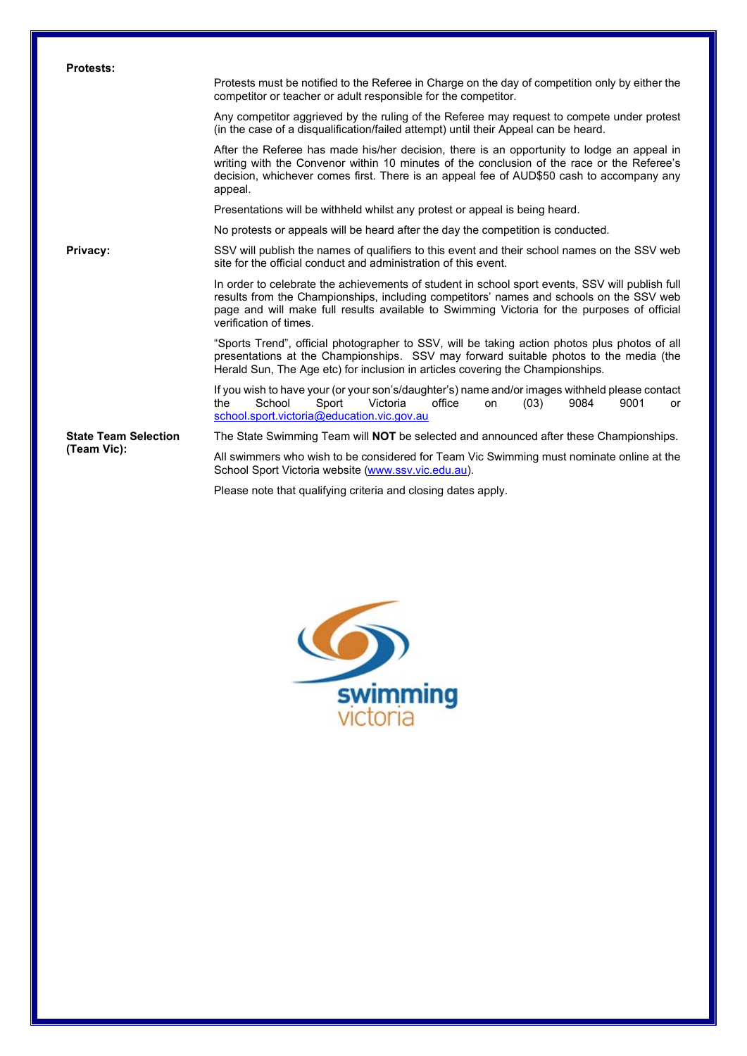| <b>Protests:</b>            |                                                                                                                                                                                                                                                                                                                     |  |  |  |  |  |  |  |  |
|-----------------------------|---------------------------------------------------------------------------------------------------------------------------------------------------------------------------------------------------------------------------------------------------------------------------------------------------------------------|--|--|--|--|--|--|--|--|
|                             | Protests must be notified to the Referee in Charge on the day of competition only by either the<br>competitor or teacher or adult responsible for the competitor.                                                                                                                                                   |  |  |  |  |  |  |  |  |
|                             | Any competitor aggrieved by the ruling of the Referee may request to compete under protest<br>(in the case of a disqualification/failed attempt) until their Appeal can be heard.                                                                                                                                   |  |  |  |  |  |  |  |  |
|                             | After the Referee has made his/her decision, there is an opportunity to lodge an appeal in<br>writing with the Convenor within 10 minutes of the conclusion of the race or the Referee's<br>decision, whichever comes first. There is an appeal fee of AUD\$50 cash to accompany any<br>appeal.                     |  |  |  |  |  |  |  |  |
|                             | Presentations will be withheld whilst any protest or appeal is being heard.                                                                                                                                                                                                                                         |  |  |  |  |  |  |  |  |
|                             | No protests or appeals will be heard after the day the competition is conducted.                                                                                                                                                                                                                                    |  |  |  |  |  |  |  |  |
| Privacy:                    | SSV will publish the names of qualifiers to this event and their school names on the SSV web<br>site for the official conduct and administration of this event.                                                                                                                                                     |  |  |  |  |  |  |  |  |
|                             | In order to celebrate the achievements of student in school sport events, SSV will publish full<br>results from the Championships, including competitors' names and schools on the SSV web<br>page and will make full results available to Swimming Victoria for the purposes of official<br>verification of times. |  |  |  |  |  |  |  |  |
|                             | "Sports Trend", official photographer to SSV, will be taking action photos plus photos of all<br>presentations at the Championships. SSV may forward suitable photos to the media (the<br>Herald Sun, The Age etc) for inclusion in articles covering the Championships.                                            |  |  |  |  |  |  |  |  |
|                             | If you wish to have your (or your son's/daughter's) name and/or images withheld please contact<br>School<br>Sport<br>Victoria<br>office<br>9084<br>9001<br>the<br>(03)<br>on<br>or<br>school.sport.victoria@education.vic.gov.au                                                                                    |  |  |  |  |  |  |  |  |
| <b>State Team Selection</b> | The State Swimming Team will NOT be selected and announced after these Championships.                                                                                                                                                                                                                               |  |  |  |  |  |  |  |  |
| (Team Vic):                 | All swimmers who wish to be considered for Team Vic Swimming must nominate online at the<br>School Sport Victoria website (www.ssv.vic.edu.au).                                                                                                                                                                     |  |  |  |  |  |  |  |  |

Please note that qualifying criteria and closing dates apply.